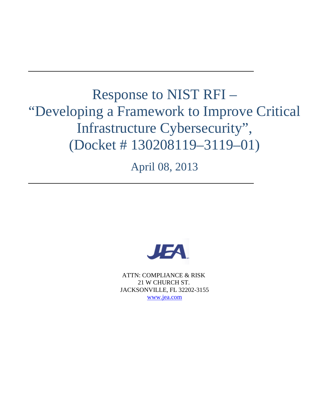# Response to NIST RFI – "Developing a Framework to Improve Critical Infrastructure Cybersecurity", (Docket # 130208119–3119–01)

April 08, 2013



ATTN: COMPLIANCE & RISK 21 W CHURCH ST. JACKSONVILLE, FL 32202-3155 [www.jea.com](http://www.jea.com/)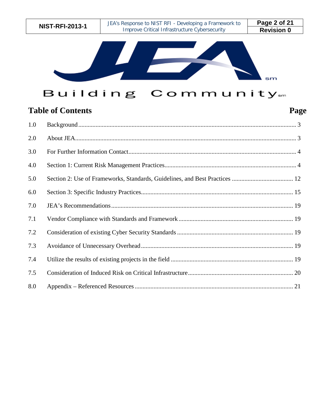

## Building Community.m

## **Table of Contents Page**

| 1.0 |  |
|-----|--|
| 2.0 |  |
| 3.0 |  |
| 4.0 |  |
| 5.0 |  |
| 6.0 |  |
| 7.0 |  |
| 7.1 |  |
| 7.2 |  |
| 7.3 |  |
| 7.4 |  |
| 7.5 |  |
| 8.0 |  |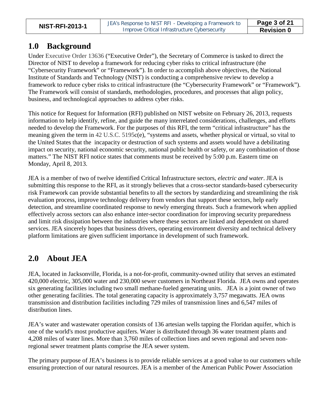### <span id="page-2-0"></span>**1.0 Background**

Under Executive Order 13636 ("Executive Order"), the Secretary of Commerce is tasked to direct the Director of NIST to develop a framework for reducing cyber risks to critical infrastructure (the "Cybersecurity Framework" or "Framework"). In order to accomplish above objectives, the National Institute of Standards and Technology (NIST) is conducting a comprehensive review to develop a framework to reduce cyber risks to critical infrastructure (the "Cybersecurity Framework" or "Framework"). The Framework will consist of standards, methodologies, procedures, and processes that align policy, business, and technological approaches to address cyber risks.

This notice for Request for Information (RFI) published on NIST website on February 26, 2013, requests information to help identify, refine, and guide the many interrelated considerations, challenges, and efforts needed to develop the Framework. For the purposes of this RFI, the term "critical infrastructure" has the meaning given the term in 42 U.S.C. 5195c(e), "systems and assets, whether physical or virtual, so vital to the United States that the incapacity or destruction of such systems and assets would have a debilitating impact on security, national economic security, national public health or safety, or any combination of those matters." The NIST RFI notice states that comments must be received by 5:00 p.m. Eastern time on Monday, April 8, 2013.

JEA is a member of two of twelve identified Critical Infrastructure sectors, *electric and water*. JEA is submitting this response to the RFI, as it strongly believes that a cross-sector standards-based cybersecurity risk Framework can provide substantial benefits to all the sectors by standardizing and streamlining the risk evaluation process, improve technology delivery from vendors that support these sectors, help early detection, and streamline coordinated response to newly emerging threats. Such a framework when applied effectively across sectors can also enhance inter-sector coordination for improving security preparedness and limit risk dissipation between the industries where these sectors are linked and dependent on shared services. JEA sincerely hopes that business drivers, operating environment diversity and technical delivery platform limitations are given sufficient importance in development of such framework.

### <span id="page-2-1"></span>**2.0 About JEA**

JEA, located in Jacksonville, Florida, is a not-for-profit, community-owned utility that serves an estimated 420,000 electric, 305,000 water and 230,000 sewer customers in Northeast Florida. JEA owns and operates six generating facilities including two small methane-fueled generating units. JEA is a joint owner of two other generating facilities. The total generating capacity is approximately 3,757 megawatts. JEA owns transmission and distribution facilities including 729 miles of transmission lines and 6,547 miles of distribution lines.

JEA's water and wastewater operation consists of 136 artesian wells tapping the Floridan aquifer, which is one of the world's most productive aquifers. Water is distributed through 36 water treatment plants and 4,208 miles of water lines. More than 3,760 miles of collection lines and seven regional and seven nonregional sewer treatment plants comprise the JEA sewer system.

The primary purpose of JEA's business is to provide reliable services at a good value to our customers while ensuring protection of our natural resources. JEA is a member of the American Public Power Association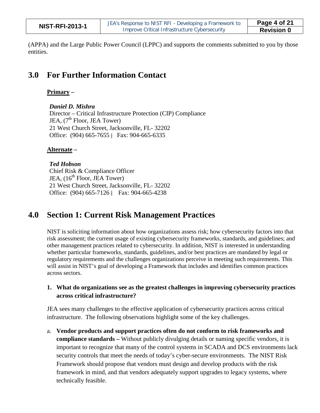| <b>NIST-RFI-2013-1</b> | JEA's Response to NIST RFI - Developing a Framework to | Page 4 of 21      |
|------------------------|--------------------------------------------------------|-------------------|
|                        | Improve Critical Infrastructure Cybersecurity          | <b>Revision 0</b> |

(APPA) and the Large Public Power Council (LPPC) and supports the comments submitted to you by those entities.

### <span id="page-3-0"></span>**3.0 For Further Information Contact**

#### **Primary –**

*Daniel D. Mishra* Director – Critical Infrastructure Protection (CIP) Compliance JEA,  $(7<sup>th</sup>$  Floor, JEA Tower) 21 West Church Street, Jacksonville, FL- 32202 Office: (904) 665-7655 | Fax: 904-665-6335

#### **Alternate –**

#### *Ted Hobson*

Chief Risk & Compliance Officer JEA,  $(16<sup>th</sup>$  Floor, JEA Tower) 21 West Church Street, Jacksonville, FL- 32202 Office: (904) 665-7126 | Fax: 904-665-4238

### <span id="page-3-1"></span>**4.0 Section 1: Current Risk Management Practices**

NIST is soliciting information about how organizations assess risk; how cybersecurity factors into that risk assessment; the current usage of existing cybersecurity frameworks, standards, and guidelines; and other management practices related to cybersecurity. In addition, NIST is interested in understanding whether particular frameworks, standards, guidelines, and/or best practices are mandated by legal or regulatory requirements and the challenges organizations perceive in meeting such requirements. This will assist in NIST's goal of developing a Framework that includes and identifies common practices across sectors.

#### **1. What do organizations see as the greatest challenges in improving cybersecurity practices across critical infrastructure?**

JEA sees many challenges to the effective application of cybersecurity practices across critical infrastructure. The following observations highlight some of the key challenges.

a. **Vendor products and support practices often do not conform to risk frameworks and compliance standards –** Without publicly divulging details or naming specific vendors, it is important to recognize that many of the control systems in SCADA and DCS environments lack security controls that meet the needs of today's cyber-secure environments. The NIST Risk Framework should propose that vendors must design and develop products with the risk framework in mind, and that vendors adequately support upgrades to legacy systems, where technically feasible.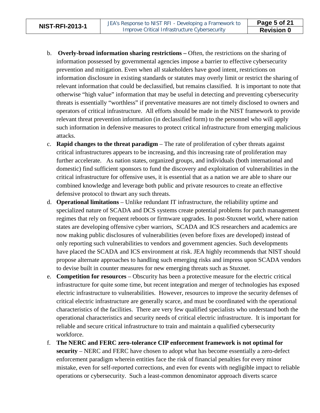- b. **Overly-broad information sharing restrictions –** Often, the restrictions on the sharing of information possessed by governmental agencies impose a barrier to effective cybersecurity prevention and mitigation. Even when all stakeholders have good intent, restrictions on information disclosure in existing standards or statutes may overly limit or restrict the sharing of relevant information that could be declassified, but remains classified. It is important to note that otherwise "high value" information that may be useful in detecting and preventing cybersecurity threats is essentially "worthless" if preventative measures are not timely disclosed to owners and operators of critical infrastructure. All efforts should be made in the NIST framework to provide relevant threat prevention information (in declassified form) to the personnel who will apply such information in defensive measures to protect critical infrastructure from emerging malicious attacks.
- c. **Rapid changes to the threat paradigm** The rate of proliferation of cyber threats against critical infrastructures appears to be increasing, and this increasing rate of proliferation may further accelerate. As nation states, organized groups, and individuals (both international and domestic) find sufficient sponsors to fund the discovery and exploitation of vulnerabilities in the critical infrastructure for offensive uses, it is essential that as a nation we are able to share our combined knowledge and leverage both public and private resources to create an effective defensive protocol to thwart any such threats.
- d. **Operational limitations**  Unlike redundant IT infrastructure, the reliability uptime and specialized nature of SCADA and DCS systems create potential problems for patch management regimes that rely on frequent reboots or firmware upgrades. In post-Stuxnet world, where nation states are developing offensive cyber warriors, SCADA and ICS researchers and academics are now making public disclosures of vulnerabilities (even before fixes are developed) instead of only reporting such vulnerabilities to vendors and government agencies. Such developments have placed the SCADA and ICS environment at risk. JEA highly recommends that NIST should propose alternate approaches to handling such emerging risks and impress upon SCADA vendors to devise built in counter measures for new emerging threats such as Stuxnet.
- e. **Competition for resources** Obscurity has been a protective measure for the electric critical infrastructure for quite some time, but recent integration and merger of technologies has exposed electric infrastructure to vulnerabilities. However, resources to improve the security defenses of critical electric infrastructure are generally scarce, and must be coordinated with the operational characteristics of the facilities. There are very few qualified specialists who understand both the operational characteristics and security needs of critical electric infrastructure. It is important for reliable and secure critical infrastructure to train and maintain a qualified cybersecurity workforce.
- f. **The NERC and FERC zero-tolerance CIP enforcement framework is not optimal for security** – NERC and FERC have chosen to adopt what has become essentially a zero-defect enforcement paradigm wherein entities face the risk of financial penalties for every minor mistake, even for self-reported corrections, and even for events with negligible impact to reliable operations or cybersecurity. Such a least-common denominator approach diverts scarce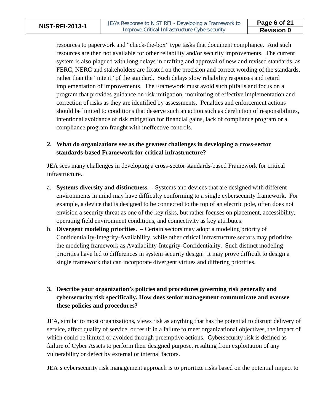resources to paperwork and "check-the-box" type tasks that document compliance. And such resources are then not available for other reliability and/or security improvements. The current system is also plagued with long delays in drafting and approval of new and revised standards, as FERC, NERC and stakeholders are fixated on the precision and correct wording of the standards, rather than the "intent" of the standard. Such delays slow reliability responses and retard implementation of improvements. The Framework must avoid such pitfalls and focus on a program that provides guidance on risk mitigation, monitoring of effective implementation and correction of risks as they are identified by assessments. Penalties and enforcement actions should be limited to conditions that deserve such an action such as dereliction of responsibilities, intentional avoidance of risk mitigation for financial gains, lack of compliance program or a compliance program fraught with ineffective controls.

#### **2. What do organizations see as the greatest challenges in developing a cross-sector standards-based Framework for critical infrastructure?**

JEA sees many challenges in developing a cross-sector standards-based Framework for critical infrastructure.

- a. **Systems diversity and distinctness.** Systems and devices that are designed with different environments in mind may have difficulty conforming to a single cybersecurity framework. For example, a device that is designed to be connected to the top of an electric pole, often does not envision a security threat as one of the key risks, but rather focuses on placement, accessibility, operating field environment conditions, and connectivity as key attributes.
- b. **Divergent modeling priorities.** Certain sectors may adopt a modeling priority of Confidentiality-Integrity-Availability, while other critical infrastructure sectors may prioritize the modeling framework as Availability-Integrity-Confidentiality. Such distinct modeling priorities have led to differences in system security design. It may prove difficult to design a single framework that can incorporate divergent virtues and differing priorities.

### **3. Describe your organization's policies and procedures governing risk generally and cybersecurity risk specifically. How does senior management communicate and oversee these policies and procedures?**

JEA, similar to most organizations, views risk as anything that has the potential to disrupt delivery of service, affect quality of service, or result in a failure to meet organizational objectives, the impact of which could be limited or avoided through preemptive actions. Cybersecurity risk is defined as failure of Cyber Assets to perform their designed purpose, resulting from exploitation of any vulnerability or defect by external or internal factors.

JEA's cybersecurity risk management approach is to prioritize risks based on the potential impact to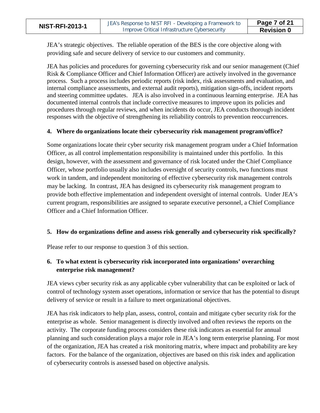JEA's strategic objectives. The reliable operation of the BES is the core objective along with providing safe and secure delivery of service to our customers and community.

JEA has policies and procedures for governing cybersecurity risk and our senior management (Chief Risk & Compliance Officer and Chief Information Officer) are actively involved in the governance process. Such a process includes periodic reports (risk index, risk assessments and evaluation, and internal compliance assessments, and external audit reports), mitigation sign-offs, incident reports and steering committee updates. JEA is also involved in a continuous learning enterprise. JEA has documented internal controls that include corrective measures to improve upon its policies and procedures through regular reviews, and when incidents do occur, JEA conducts thorough incident responses with the objective of strengthening its reliability controls to prevention reoccurrences.

#### **4. Where do organizations locate their cybersecurity risk management program/office?**

Some organizations locate their cyber security risk management program under a Chief Information Officer, as all control implementation responsibility is maintained under this portfolio. In this design, however, with the assessment and governance of risk located under the Chief Compliance Officer, whose portfolio usually also includes oversight of security controls, two functions must work in tandem, and independent monitoring of effective cybersecurity risk management controls may be lacking. In contrast, JEA has designed its cybersecurity risk management program to provide both effective implementation and independent oversight of internal controls. Under JEA's current program, responsibilities are assigned to separate executive personnel, a Chief Compliance Officer and a Chief Information Officer.

#### **5. How do organizations define and assess risk generally and cybersecurity risk specifically?**

Please refer to our response to question 3 of this section.

### **6. To what extent is cybersecurity risk incorporated into organizations' overarching enterprise risk management?**

JEA views cyber security risk as any applicable cyber vulnerability that can be exploited or lack of control of technology system asset operations, information or service that has the potential to disrupt delivery of service or result in a failure to meet organizational objectives.

JEA has risk indicators to help plan, assess, control, contain and mitigate cyber security risk for the enterprise as whole. Senior management is directly involved and often reviews the reports on the activity. The corporate funding process considers these risk indicators as essential for annual planning and such consideration plays a major role in JEA's long term enterprise planning. For most of the organization, JEA has created a risk monitoring matrix, where impact and probability are key factors. For the balance of the organization, objectives are based on this risk index and application of cybersecurity controls is assessed based on objective analysis.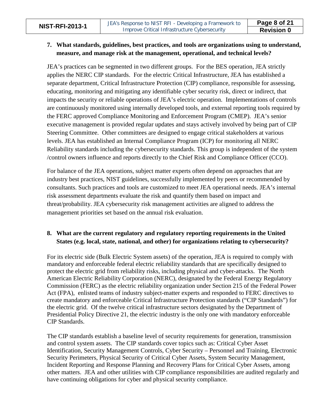#### **7. What standards, guidelines, best practices, and tools are organizations using to understand, measure, and manage risk at the management, operational, and technical levels?**

JEA's practices can be segmented in two different groups. For the BES operation, JEA strictly applies the NERC CIP standards. For the electric Critical Infrastructure, JEA has established a separate department, Critical Infrastructure Protection (CIP) compliance, responsible for assessing, educating, monitoring and mitigating any identifiable cyber security risk, direct or indirect, that impacts the security or reliable operations of JEA's electric operation. Implementations of controls are continuously monitored using internally developed tools, and external reporting tools required by the FERC approved Compliance Monitoring and Enforcement Program (CMEP). JEA's senior executive management is provided regular updates and stays actively involved by being part of CIP Steering Committee. Other committees are designed to engage critical stakeholders at various levels. JEA has established an Internal Compliance Program (ICP) for monitoring all NERC Reliability standards including the cybersecurity standards. This group is independent of the system /control owners influence and reports directly to the Chief Risk and Compliance Officer (CCO).

For balance of the JEA operations, subject matter experts often depend on approaches that are industry best practices, NIST guidelines, successfully implemented by peers or recommended by consultants. Such practices and tools are customized to meet JEA operational needs. JEA's internal risk assessment departments evaluate the risk and quantify them based on impact and threat/probability. JEA cybersecurity risk management activities are aligned to address the management priorities set based on the annual risk evaluation.

#### **8. What are the current regulatory and regulatory reporting requirements in the United States (e.g. local, state, national, and other) for organizations relating to cybersecurity?**

For its electric side (Bulk Electric System assets) of the operation, JEA is required to comply with mandatory and enforceable federal electric reliability standards that are specifically designed to protect the electric grid from reliability risks, including physical and cyber-attacks. The North American Electric Reliability Corporation (NERC), designated by the Federal Energy Regulatory Commission (FERC) as the electric reliability organization under Section 215 of the Federal Power Act (FPA), enlisted teams of industry subject-matter experts and responded to FERC directives to create mandatory and enforceable Critical Infrastructure Protection standards ("CIP Standards") for the electric grid. Of the twelve critical infrastructure sectors designated by the Department of Presidential Policy Directive 21, the electric industry is the only one with mandatory enforceable CIP Standards.

The CIP standards establish a baseline level of security requirements for generation, transmission and control system assets. The CIP standards cover topics such as: Critical Cyber Asset Identification, Security Management Controls, Cyber Security – Personnel and Training, Electronic Security Perimeters, Physical Security of Critical Cyber Assets, System Security Management, Incident Reporting and Response Planning and Recovery Plans for Critical Cyber Assets, among other matters. JEA and other utilities with CIP compliance responsibilities are audited regularly and have continuing obligations for cyber and physical security compliance.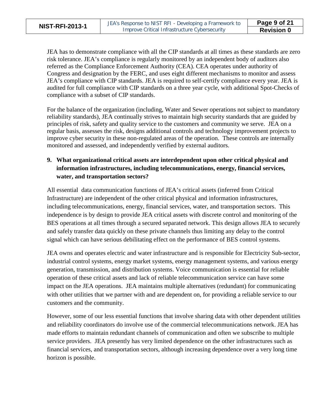JEA has to demonstrate compliance with all the CIP standards at all times as these standards are zero risk tolerance. JEA's compliance is regularly monitored by an independent body of auditors also referred as the Compliance Enforcement Authority (CEA). CEA operates under authority of Congress and designation by the FERC, and uses eight different mechanisms to monitor and assess JEA's compliance with CIP standards. JEA is required to self-certify compliance every year. JEA is audited for full compliance with CIP standards on a three year cycle, with additional Spot-Checks of compliance with a subset of CIP standards.

For the balance of the organization (including, Water and Sewer operations not subject to mandatory reliability standards), JEA continually strives to maintain high security standards that are guided by principles of risk, safety and quality service to the customers and community we serve. JEA on a regular basis, assesses the risk, designs additional controls and technology improvement projects to improve cyber security in these non-regulated areas of the operation. These controls are internally monitored and assessed, and independently verified by external auditors.

### **9. What organizational critical assets are interdependent upon other critical physical and information infrastructures, including telecommunications, energy, financial services, water, and transportation sectors?**

All essential data communication functions of JEA's critical assets (inferred from Critical Infrastructure) are independent of the other critical physical and information infrastructures, including telecommunications, energy, financial services, water, and transportation sectors. This independence is by design to provide JEA critical assets with discrete control and monitoring of the BES operations at all times through a secured separated network. This design allows JEA to securely and safely transfer data quickly on these private channels thus limiting any delay to the control signal which can have serious debilitating effect on the performance of BES control systems.

JEA owns and operates electric and water infrastructure and is responsible for Electricity Sub-sector, industrial control systems, energy market systems, energy management systems, and various energy generation, transmission, and distribution systems. Voice communication is essential for reliable operation of these critical assets and lack of reliable telecommunication service can have some impact on the JEA operations. JEA maintains multiple alternatives (redundant) for communicating with other utilities that we partner with and are dependent on, for providing a reliable service to our customers and the community.

However, some of our less essential functions that involve sharing data with other dependent utilities and reliability coordinators do involve use of the commercial telecommunications network. JEA has made efforts to maintain redundant channels of communication and often we subscribe to multiple service providers. JEA presently has very limited dependence on the other infrastructures such as financial services, and transportation sectors, although increasing dependence over a very long time horizon is possible.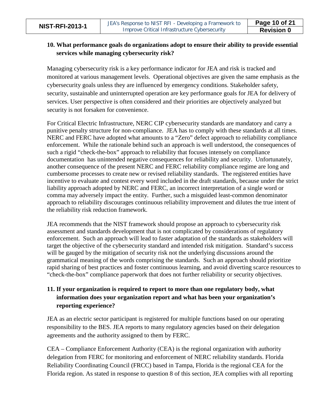#### **10. What performance goals do organizations adopt to ensure their ability to provide essential services while managing cybersecurity risk?**

Managing cybersecurity risk is a key performance indicator for JEA and risk is tracked and monitored at various management levels. Operational objectives are given the same emphasis as the cybersecurity goals unless they are influenced by emergency conditions. Stakeholder safety, security, sustainable and uninterrupted operation are key performance goals for JEA for delivery of services. User perspective is often considered and their priorities are objectively analyzed but security is not forsaken for convenience.

For Critical Electric Infrastructure, NERC CIP cybersecurity standards are mandatory and carry a punitive penalty structure for non-compliance. JEA has to comply with these standards at all times. NERC and FERC have adopted what amounts to a "Zero" defect approach to reliability compliance enforcement. While the rationale behind such an approach is well understood, the consequences of such a rigid "check-the-box" approach to reliability that focuses intensely on compliance documentation has unintended negative consequences for reliability and security. Unfortunately, another consequence of the present NERC and FERC reliability compliance regime are long and cumbersome processes to create new or revised reliability standards. The registered entities have incentive to evaluate and contest every word included in the draft standards, because under the strict liability approach adopted by NERC and FERC, an incorrect interpretation of a single word or comma may adversely impact the entity. Further, such a misguided least-common denominator approach to reliability discourages continuous reliability improvement and dilutes the true intent of the reliability risk reduction framework.

JEA recommends that the NIST framework should propose an approach to cybersecurity risk assessment and standards development that is not complicated by considerations of regulatory enforcement. Such an approach will lead to faster adaptation of the standards as stakeholders will target the objective of the cybersecurity standard and intended risk mitigation. Standard's success will be gauged by the mitigation of security risk not the underlying discussions around the grammatical meaning of the words comprising the standards. Such an approach should prioritize rapid sharing of best practices and foster continuous learning, and avoid diverting scarce resources to "check-the-box" compliance paperwork that does not further reliability or security objectives.

### **11. If your organization is required to report to more than one regulatory body, what information does your organization report and what has been your organization's reporting experience?**

JEA as an electric sector participant is registered for multiple functions based on our operating responsibility to the BES. JEA reports to many regulatory agencies based on their delegation agreements and the authority assigned to them by FERC.

CEA – Compliance Enforcement Authority (CEA) is the regional organization with authority delegation from FERC for monitoring and enforcement of NERC reliability standards. Florida Reliability Coordinating Council (FRCC) based in Tampa, Florida is the regional CEA for the Florida region. As stated in response to question 8 of this section, JEA complies with all reporting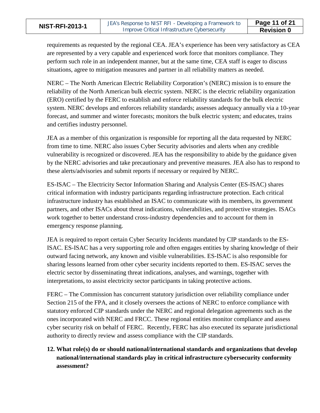requirements as requested by the regional CEA. JEA's experience has been very satisfactory as CEA are represented by a very capable and experienced work force that monitors compliance. They perform such role in an independent manner, but at the same time, CEA staff is eager to discuss situations, agree to mitigation measures and partner in all reliability matters as needed.

NERC – The North American Electric Reliability Corporation's (NERC) mission is to ensure the reliability of the North American bulk electric system. NERC is the electric reliability organization (ERO) certified by the FERC to establish and enforce reliability standards for the bulk electric system. NERC develops and enforces reliability standards; assesses adequacy annually via a 10-year forecast, and summer and winter forecasts; monitors the bulk electric system; and educates, trains and certifies industry personnel.

JEA as a member of this organization is responsible for reporting all the data requested by NERC from time to time. NERC also issues Cyber Security advisories and alerts when any credible vulnerability is recognized or discovered. JEA has the responsibility to abide by the guidance given by the NERC advisories and take precautionary and preventive measures. JEA also has to respond to these alerts/advisories and submit reports if necessary or required by NERC.

ES-ISAC – The Electricity Sector Information Sharing and Analysis Center (ES-ISAC) shares critical information with industry participants regarding infrastructure protection. Each critical infrastructure industry has established an ISAC to communicate with its members, its government partners, and other ISACs about threat indications, vulnerabilities, and protective strategies. ISACs work together to better understand cross-industry dependencies and to account for them in emergency response planning.

JEA is required to report certain Cyber Security Incidents mandated by CIP standards to the ES-ISAC. ES-ISAC has a very supporting role and often engages entities by sharing knowledge of their outward facing network, any known and visible vulnerabilities. ES-ISAC is also responsible for sharing lessons learned from other cyber security incidents reported to them. ES-ISAC serves the electric sector by disseminating threat indications, analyses, and warnings, together with interpretations, to assist electricity sector participants in taking protective actions.

FERC – The Commission has concurrent statutory jurisdiction over reliability compliance under Section 215 of the FPA, and it closely oversees the actions of NERC to enforce compliance with statutory enforced CIP standards under the NERC and regional delegation agreements such as the ones incorporated with NERC and FRCC. These regional entities monitor compliance and assess cyber security risk on behalf of FERC. Recently, FERC has also executed its separate jurisdictional authority to directly review and assess compliance with the CIP standards.

### **12. What role(s) do or should national/international standards and organizations that develop national/international standards play in critical infrastructure cybersecurity conformity assessment?**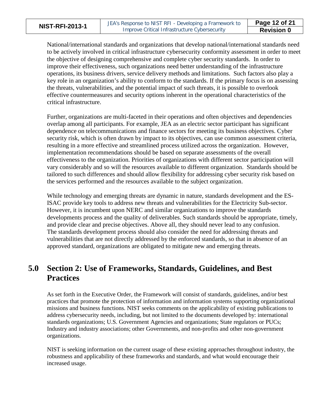National/international standards and organizations that develop national/international standards need to be actively involved in critical infrastructure cybersecurity conformity assessment in order to meet the objective of designing comprehensive and complete cyber security standards. In order to improve their effectiveness, such organizations need better understanding of the infrastructure operations, its business drivers, service delivery methods and limitations. Such factors also play a key role in an organization's ability to conform to the standards. If the primary focus is on assessing the threats, vulnerabilities, and the potential impact of such threats, it is possible to overlook effective countermeasures and security options inherent in the operational characteristics of the critical infrastructure.

Further, organizations are multi-faceted in their operations and often objectives and dependencies overlap among all participants. For example, JEA as an electric sector participant has significant dependence on telecommunications and finance sectors for meeting its business objectives. Cyber security risk, which is often drawn by impact to its objectives, can use common assessment criteria, resulting in a more effective and streamlined process utilized across the organization. However, implementation recommendations should be based on separate assessments of the overall effectiveness to the organization. Priorities of organizations with different sector participation will vary considerably and so will the resources available to different organization. Standards should be tailored to such differences and should allow flexibility for addressing cyber security risk based on the services performed and the resources available to the subject organization.

While technology and emerging threats are dynamic in nature, standards development and the ES-ISAC provide key tools to address new threats and vulnerabilities for the Electricity Sub-sector. However, it is incumbent upon NERC and similar organizations to improve the standards developments process and the quality of deliverables. Such standards should be appropriate, timely, and provide clear and precise objectives. Above all, they should never lead to any confusion. The standards development process should also consider the need for addressing threats and vulnerabilities that are not directly addressed by the enforced standards, so that in absence of an approved standard, organizations are obligated to mitigate new and emerging threats.

### <span id="page-11-0"></span>**5.0 Section 2: Use of Frameworks, Standards, Guidelines, and Best Practices**

As set forth in the Executive Order, the Framework will consist of standards, guidelines, and/or best practices that promote the protection of information and information systems supporting organizational missions and business functions. NIST seeks comments on the applicability of existing publications to address cybersecurity needs, including, but not limited to the documents developed by: international standards organizations; U.S. Government Agencies and organizations; State regulators or PUCs; Industry and industry associations; other Governments, and non-profits and other non-government organizations.

NIST is seeking information on the current usage of these existing approaches throughout industry, the robustness and applicability of these frameworks and standards, and what would encourage their increased usage.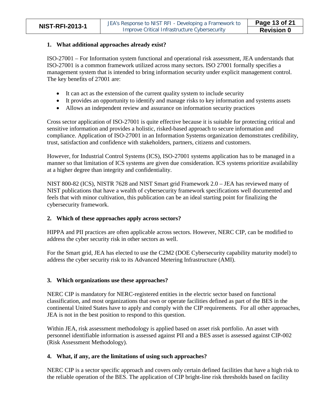#### **1. What additional approaches already exist?**

ISO-27001 – For Information system functional and operational risk assessment, JEA understands that ISO-27001 is a common framework utilized across many sectors. ISO 27001 formally specifies a management system that is intended to bring information security under explicit management control. The key benefits of 27001 are:

- It can act as the extension of the current quality system to include security
- It provides an opportunity to identify and manage risks to key information and systems assets
- Allows an independent review and assurance on information security practices

Cross sector application of ISO-27001 is quite effective because it is suitable for protecting critical and sensitive information and provides a holistic, risked-based approach to secure information and compliance. Application of ISO-27001 in an Information Systems organization demonstrates credibility, trust, satisfaction and confidence with stakeholders, partners, citizens and customers.

However, for Industrial Control Systems (ICS), ISO-27001 systems application has to be managed in a manner so that limitation of ICS systems are given due consideration. ICS systems prioritize availability at a higher degree than integrity and confidentiality.

NIST 800-82 (ICS), NISTR 7628 and NIST Smart grid Framework 2.0 – JEA has reviewed many of NIST publications that have a wealth of cybersecurity framework specifications well documented and feels that with minor cultivation, this publication can be an ideal starting point for finalizing the cybersecurity framework.

#### **2. Which of these approaches apply across sectors?**

HIPPA and PII practices are often applicable across sectors. However, NERC CIP, can be modified to address the cyber security risk in other sectors as well.

For the Smart grid, JEA has elected to use the C2M2 (DOE Cybersecurity capability maturity model) to address the cyber security risk to its Advanced Metering Infrastructure (AMI).

#### **3. Which organizations use these approaches?**

NERC CIP is mandatory for NERC-registered entities in the electric sector based on functional classification, and most organizations that own or operate facilities defined as part of the BES in the continental United States have to apply and comply with the CIP requirements. For all other approaches, JEA is not in the best position to respond to this question.

Within JEA, risk assessment methodology is applied based on asset risk portfolio. An asset with personnel identifiable information is assessed against PII and a BES asset is assessed against CIP-002 (Risk Assessment Methodology).

#### **4. What, if any, are the limitations of using such approaches?**

NERC CIP is a sector specific approach and covers only certain defined facilities that have a high risk to the reliable operation of the BES. The application of CIP bright-line risk thresholds based on facility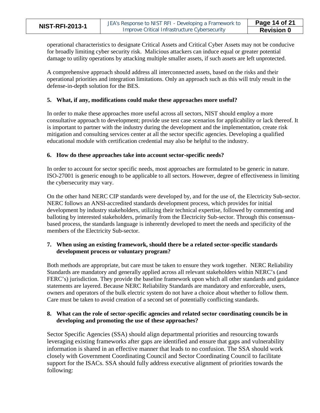operational characteristics to designate Critical Assets and Critical Cyber Assets may not be conducive for broadly limiting cyber security risk. Malicious attackers can induce equal or greater potential damage to utility operations by attacking multiple smaller assets, if such assets are left unprotected.

A comprehensive approach should address all interconnected assets, based on the risks and their operational priorities and integration limitations. Only an approach such as this will truly result in the defense-in-depth solution for the BES.

#### **5. What, if any, modifications could make these approaches more useful?**

In order to make these approaches more useful across all sectors, NIST should employ a more consultative approach to development; provide use test case scenarios for applicability or lack thereof. It is important to partner with the industry during the development and the implementation, create risk mitigation and consulting services center at all the sector specific agencies. Developing a qualified educational module with certification credential may also be helpful to the industry.

#### **6. How do these approaches take into account sector-specific needs?**

In order to account for sector specific needs, most approaches are formulated to be generic in nature. ISO-27001 is generic enough to be applicable to all sectors. However, degree of effectiveness in limiting the cybersecurity may vary.

On the other hand NERC CIP standards were developed by, and for the use of, the Electricity Sub-sector. NERC follows an ANSI-accredited standards development process, which provides for initial development by industry stakeholders, utilizing their technical expertise, followed by commenting and balloting by interested stakeholders, primarily from the Electricity Sub-sector. Through this consensusbased process, the standards language is inherently developed to meet the needs and specificity of the members of the Electricity Sub-sector.

#### **7. When using an existing framework, should there be a related sector-specific standards development process or voluntary program?**

Both methods are appropriate, but care must be taken to ensure they work together. NERC Reliability Standards are mandatory and generally applied across all relevant stakeholders within NERC's (and FERC's) jurisdiction. They provide the baseline framework upon which all other standards and guidance statements are layered. Because NERC Reliability Standards are mandatory and enforceable, users, owners and operators of the bulk electric system do not have a choice about whether to follow them. Care must be taken to avoid creation of a second set of potentially conflicting standards.

#### **8. What can the role of sector-specific agencies and related sector coordinating councils be in developing and promoting the use of these approaches?**

Sector Specific Agencies (SSA) should align departmental priorities and resourcing towards leveraging existing frameworks after gaps are identified and ensure that gaps and vulnerability information is shared in an effective manner that leads to no confusion. The SSA should work closely with Government Coordinating Council and Sector Coordinating Council to facilitate support for the ISACs. SSA should fully address executive alignment of priorities towards the following: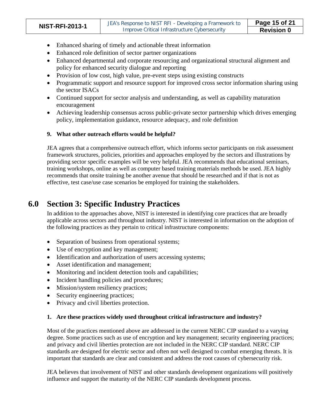- Enhanced sharing of timely and actionable threat information
- Enhanced role definition of sector partner organizations
- Enhanced departmental and corporate resourcing and organizational structural alignment and policy for enhanced security dialogue and reporting
- Provision of low cost, high value, pre-event steps using existing constructs
- Programmatic support and resource support for improved cross sector information sharing using the sector ISACs
- Continued support for sector analysis and understanding, as well as capability maturation encouragement
- Achieving leadership consensus across public-private sector partnership which drives emerging policy, implementation guidance, resource adequacy, and role definition

#### **9. What other outreach efforts would be helpful?**

JEA agrees that a comprehensive outreach effort, which informs sector participants on risk assessment framework structures, policies, priorities and approaches employed by the sectors and illustrations by providing sector specific examples will be very helpful. JEA recommends that educational seminars, training workshops, online as well as computer based training materials methods be used. JEA highly recommends that onsite training be another avenue that should be researched and if that is not as effective, test case/use case scenarios be employed for training the stakeholders.

### <span id="page-14-0"></span>**6.0 Section 3: Specific Industry Practices**

In addition to the approaches above, NIST is interested in identifying core practices that are broadly applicable across sectors and throughout industry. NIST is interested in information on the adoption of the following practices as they pertain to critical infrastructure components:

- Separation of business from operational systems;
- Use of encryption and key management;
- Identification and authorization of users accessing systems;
- Asset identification and management;
- Monitoring and incident detection tools and capabilities;
- Incident handling policies and procedures;
- Mission/system resiliency practices;
- Security engineering practices;
- Privacy and civil liberties protection.

#### **1. Are these practices widely used throughout critical infrastructure and industry?**

Most of the practices mentioned above are addressed in the current NERC CIP standard to a varying degree. Some practices such as use of encryption and key management; security engineering practices; and privacy and civil liberties protection are not included in the NERC CIP standard. NERC CIP standards are designed for electric sector and often not well designed to combat emerging threats. It is important that standards are clear and consistent and address the root causes of cybersecurity risk.

JEA believes that involvement of NIST and other standards development organizations will positively influence and support the maturity of the NERC CIP standards development process.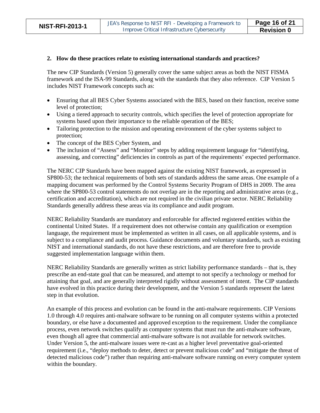#### **2. How do these practices relate to existing international standards and practices?**

The new CIP Standards (Version 5) generally cover the same subject areas as both the NIST FISMA framework and the ISA-99 Standards, along with the standards that they also reference. CIP Version 5 includes NIST Framework concepts such as:

- Ensuring that all BES Cyber Systems associated with the BES, based on their function, receive some level of protection;
- Using a tiered approach to security controls, which specifies the level of protection appropriate for systems based upon their importance to the reliable operation of the BES;
- Tailoring protection to the mission and operating environment of the cyber systems subject to protection;
- The concept of the BES Cyber System, and
- The inclusion of "Assess" and "Monitor" steps by adding requirement language for "identifying, assessing, and correcting" deficiencies in controls as part of the requirements' expected performance.

The NERC CIP Standards have been mapped against the existing NIST framework, as expressed in SP800-53; the technical requirements of both sets of standards address the same areas. One example of a mapping document was performed by the Control Systems Security Program of DHS in 2009. The area where the SP800-53 control statements do not overlap are in the reporting and administrative areas (e.g., certification and accreditation), which are not required in the civilian private sector. NERC Reliability Standards generally address these areas via its compliance and audit program.

NERC Reliability Standards are mandatory and enforceable for affected registered entities within the continental United States. If a requirement does not otherwise contain any qualification or exemption language, the requirement must be implemented as written in all cases, on all applicable systems, and is subject to a compliance and audit process. Guidance documents and voluntary standards, such as existing NIST and international standards, do not have these restrictions, and are therefore free to provide suggested implementation language within them.

NERC Reliability Standards are generally written as strict liability performance standards – that is, they prescribe an end-state goal that can be measured, and attempt to not specify a technology or method for attaining that goal, and are generally interpreted rigidly without assessment of intent. The CIP standards have evolved in this practice during their development, and the Version 5 standards represent the latest step in that evolution.

An example of this process and evolution can be found in the anti-malware requirements. CIP Versions 1.0 through 4.0 requires anti-malware software to be running on all computer systems within a protected boundary, or else have a documented and approved exception to the requirement. Under the compliance process, even network switches qualify as computer systems that must run the anti-malware software, even though all agree that commercial anti-malware software is not available for network switches. Under Version 5, the anti-malware issues were re-cast as a higher level preventative goal-oriented requirement (i.e., "deploy methods to deter, detect or prevent malicious code" and "mitigate the threat of detected malicious code") rather than requiring anti-malware software running on every computer system within the boundary.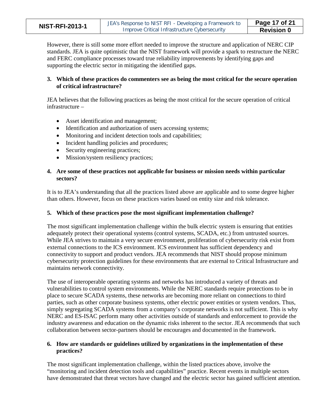|  |  |  |  |  |  | <b>NIST-RFI-2013-1</b> |  |  |  |  |
|--|--|--|--|--|--|------------------------|--|--|--|--|
|--|--|--|--|--|--|------------------------|--|--|--|--|

However, there is still some more effort needed to improve the structure and application of NERC CIP standards. JEA is quite optimistic that the NIST framework will provide a spark to restructure the NERC and FERC compliance processes toward true reliability improvements by identifying gaps and supporting the electric sector in mitigating the identified gaps.

#### **3. Which of these practices do commenters see as being the most critical for the secure operation of critical infrastructure?**

JEA believes that the following practices as being the most critical for the secure operation of critical infrastructure –

- Asset identification and management;
- Identification and authorization of users accessing systems;
- Monitoring and incident detection tools and capabilities;
- Incident handling policies and procedures;
- Security engineering practices;
- Mission/system resiliency practices;

#### **4. Are some of these practices not applicable for business or mission needs within particular sectors?**

It is to JEA's understanding that all the practices listed above are applicable and to some degree higher than others. However, focus on these practices varies based on entity size and risk tolerance.

#### **5. Which of these practices pose the most significant implementation challenge?**

The most significant implementation challenge within the bulk electric system is ensuring that entities adequately protect their operational systems (control systems, SCADA, etc.) from untrusted sources. While JEA strives to maintain a very secure environment, proliferation of cybersecurity risk exist from external connections to the ICS environment. ICS environment has sufficient dependency and connectivity to support and product vendors. JEA recommends that NIST should propose minimum cybersecurity protection guidelines for these environments that are external to Critical Infrastructure and maintains network connectivity.

The use of interoperable operating systems and networks has introduced a variety of threats and vulnerabilities to control system environments. While the NERC standards require protections to be in place to secure SCADA systems, these networks are becoming more reliant on connections to third parties, such as other corporate business systems, other electric power entities or system vendors. Thus, simply segregating SCADA systems from a company's corporate networks is not sufficient. This is why NERC and ES-ISAC perform many other activities outside of standards and enforcement to provide the industry awareness and education on the dynamic risks inherent to the sector. JEA recommends that such collaboration between sector-partners should be encourages and documented in the framework.

#### **6. How are standards or guidelines utilized by organizations in the implementation of these practices?**

The most significant implementation challenge, within the listed practices above, involve the "monitoring and incident detection tools and capabilities" practice. Recent events in multiple sectors have demonstrated that threat vectors have changed and the electric sector has gained sufficient attention.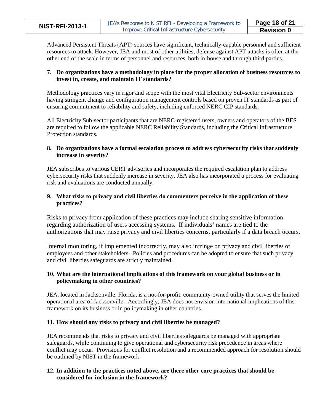Advanced Persistent Threats (APT) sources have significant, technically-capable personnel and sufficient resources to attack. However, JEA and most of other utilities, defense against APT attacks is often at the other end of the scale in terms of personnel and resources, both in-house and through third parties.

#### **7. Do organizations have a methodology in place for the proper allocation of business resources to invest in, create, and maintain IT standards?**

Methodology practices vary in rigor and scope with the most vital Electricity Sub-sector environments having stringent change and configuration management controls based on proven IT standards as part of ensuring commitment to reliability and safety, including enforced NERC CIP standards.

All Electricity Sub-sector participants that are NERC-registered users, owners and operators of the BES are required to follow the applicable NERC Reliability Standards, including the Critical Infrastructure Protection standards.

#### **8. Do organizations have a formal escalation process to address cybersecurity risks that suddenly increase in severity?**

JEA subscribes to various CERT advisories and incorporates the required escalation plan to address cybersecurity risks that suddenly increase in severity. JEA also has incorporated a process for evaluating risk and evaluations are conducted annually.

#### **9. What risks to privacy and civil liberties do commenters perceive in the application of these practices?**

Risks to privacy from application of these practices may include sharing sensitive information regarding authorization of users accessing systems. If individuals' names are tied to the authorizations that may raise privacy and civil liberties concerns, particularly if a data breach occurs.

Internal monitoring, if implemented incorrectly, may also infringe on privacy and civil liberties of employees and other stakeholders. Policies and procedures can be adopted to ensure that such privacy and civil liberties safeguards are strictly maintained.

#### **10. What are the international implications of this framework on your global business or in policymaking in other countries?**

JEA, located in Jacksonville, Florida, is a not-for-profit, community-owned utility that serves the limited operational area of Jacksonville. Accordingly, JEA does not envision international implications of this framework on its business or in policymaking in other countries.

#### **11. How should any risks to privacy and civil liberties be managed?**

JEA recommends that risks to privacy and civil liberties safeguards be managed with appropriate safeguards, while continuing to give operational and cybersecurity risk precedence in areas where conflict may occur. Provisions for conflict resolution and a recommended approach for resolution should be outlined by NIST in the framework.

#### **12. In addition to the practices noted above, are there other core practices that should be considered for inclusion in the framework?**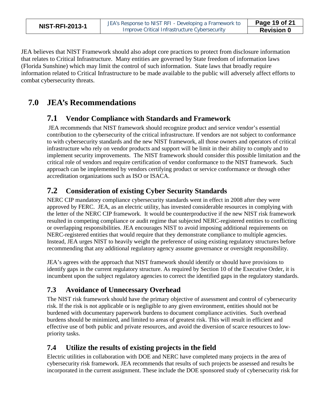JEA believes that NIST Framework should also adopt core practices to protect from disclosure information that relates to Critical Infrastructure. Many entities are governed by State freedom of information laws (Florida Sunshine) which may limit the control of such information. State laws that broadly require information related to Critical Infrastructure to be made available to the public will adversely affect efforts to combat cybersecurity threats.

### <span id="page-18-1"></span><span id="page-18-0"></span>**7.0 JEA's Recommendations**

### **7.1 Vendor Compliance with Standards and Framework**

JEA recommends that NIST framework should recognize product and service vendor's essential contribution to the cybersecurity of the critical infrastructure. If vendors are not subject to conformance to with cybersecurity standards and the new NIST framework, all those owners and operators of critical infrastructure who rely on vendor products and support will be limit in their ability to comply and to implement security improvements. The NIST framework should consider this possible limitation and the critical role of vendors and require certification of vendor conformance to the NIST framework. Such approach can be implemented by vendors certifying product or service conformance or through other accreditation organizations such as ISO or ISACA.

### <span id="page-18-2"></span>**7.2 Consideration of existing Cyber Security Standards**

NERC CIP mandatory compliance cybersecurity standards went in effect in 2008 after they were approved by FERC. JEA, as an electric utility, has invested considerable resources in complying with the letter of the NERC CIP framework. It would be counterproductive if the new NIST risk framework resulted in competing compliance or audit regime that subjected NERC-registered entities to conflicting or overlapping responsibilities. JEA encourages NIST to avoid imposing additional requirements on NERC-registered entities that would require that they demonstrate compliance to multiple agencies. Instead, JEA urges NIST to heavily weight the preference of using existing regulatory structures before recommending that any additional regulatory agency assume governance or oversight responsibility.

JEA's agrees with the approach that NIST framework should identify or should have provisions to identify gaps in the current regulatory structure. As required by Section 10 of the Executive Order, it is incumbent upon the subject regulatory agencies to correct the identified gaps in the regulatory standards.

### <span id="page-18-3"></span>**7.3 Avoidance of Unnecessary Overhead**

The NIST risk framework should have the primary objective of assessment and control of cybersecurity risk. If the risk is not applicable or is negligible to any given environment, entities should not be burdened with documentary paperwork burdens to document compliance activities. Such overhead burdens should be minimized, and limited to areas of greatest risk. This will result in efficient and effective use of both public and private resources, and avoid the diversion of scarce resources to lowpriority tasks.

### <span id="page-18-4"></span>**7.4 Utilize the results of existing projects in the field**

Electric utilities in collaboration with DOE and NERC have completed many projects in the area of cybersecurity risk framework. JEA recommends that results of such projects be assessed and results be incorporated in the current assignment. These include the DOE sponsored study of cybersecurity risk for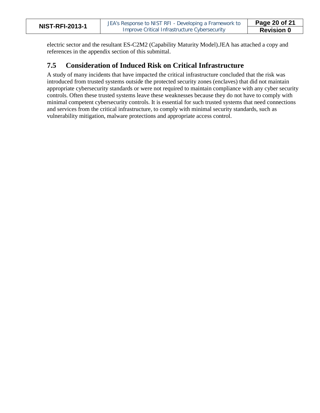| <b>NIST-RFI-2013-1</b> |  |  |
|------------------------|--|--|
|------------------------|--|--|

electric sector and the resultant ES-C2M2 (Capability Maturity Model).JEA has attached a copy and references in the appendix section of this submittal.

### <span id="page-19-0"></span>**7.5 Consideration of Induced Risk on Critical Infrastructure**

A study of many incidents that have impacted the critical infrastructure concluded that the risk was introduced from trusted systems outside the protected security zones (enclaves) that did not maintain appropriate cybersecurity standards or were not required to maintain compliance with any cyber security controls. Often these trusted systems leave these weaknesses because they do not have to comply with minimal competent cybersecurity controls. It is essential for such trusted systems that need connections and services from the critical infrastructure, to comply with minimal security standards, such as vulnerability mitigation, malware protections and appropriate access control.